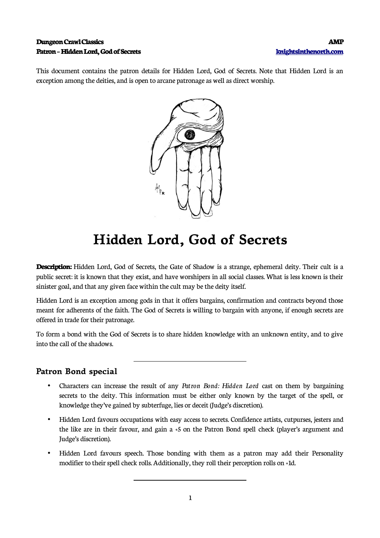#### **Dungeon Crawl Classics AMP Patron – Hidden Lord, God of Secrets [knightsinthenorth.com](http://knightsinthenorth.com/)**

This document contains the patron details for Hidden Lord, God of Secrets. Note that Hidden Lord is an exception among the deities, and is open to arcane patronage as well as direct worship.



# **Hidden Lord, God of Secrets**

**Description:** Hidden Lord, God of Secrets, the Gate of Shadow is a strange, ephemeral deity. Their cult is a public secret: it is known that they exist, and have worshipers in all social classes. What is less known is their sinister goal, and that any given face within the cult may be the deity itself.

Hidden Lord is an exception among gods in that it offers bargains, confirmation and contracts beyond those meant for adherents of the faith. The God of Secrets is willing to bargain with anyone, if enough secrets are offered in trade for their patronage.

To form a bond with the God of Secrets is to share hidden knowledge with an unknown entity, and to give into the call of the shadows.

### **Patron Bond special**

 $\overline{a}$ 

 $\overline{a}$ 

- Characters can increase the result of any *Patron Bond: Hidden Lord* cast on them by bargaining secrets to the deity. This information must be either only known by the target of the spell, or knowledge they've gained by subterfuge, lies or deceit (Judge's discretion).
- Hidden Lord favours occupations with easy access to secrets. Confidence artists, cutpurses, jesters and the like are in their favour, and gain a +5 on the Patron Bond spell check (player's argument and Judge's discretion).
- Hidden Lord favours speech. Those bonding with them as a patron may add their Personality modifier to their spell check rolls. Additionally, they roll their perception rolls on +1d.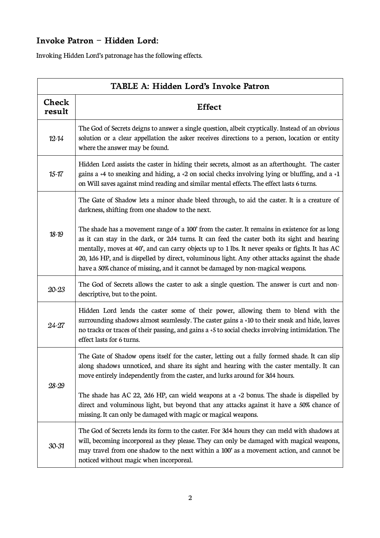# **Invoke Patron – Hidden Lord:**

Invoking Hidden Lord's patronage has the following effects.

| TABLE A: Hidden Lord's Invoke Patron |                                                                                                                                                                                                                                                                                                                                                                                                                                                                                    |  |
|--------------------------------------|------------------------------------------------------------------------------------------------------------------------------------------------------------------------------------------------------------------------------------------------------------------------------------------------------------------------------------------------------------------------------------------------------------------------------------------------------------------------------------|--|
| <b>Check</b><br>result               | <b>Effect</b>                                                                                                                                                                                                                                                                                                                                                                                                                                                                      |  |
| $12 - 14$                            | The God of Secrets deigns to answer a single question, albeit cryptically. Instead of an obvious<br>solution or a clear appellation the asker receives directions to a person, location or entity<br>where the answer may be found.                                                                                                                                                                                                                                                |  |
| $15 - 17$                            | Hidden Lord assists the caster in hiding their secrets, almost as an afterthought. The caster<br>gains a $+4$ to sneaking and hiding, a $+2$ on social checks involving lying or bluffing, and a $+1$<br>on Will saves against mind reading and similar mental effects. The effect lasts 6 turns.                                                                                                                                                                                  |  |
| $18-19$                              | The Gate of Shadow lets a minor shade bleed through, to aid the caster. It is a creature of<br>darkness, shifting from one shadow to the next.                                                                                                                                                                                                                                                                                                                                     |  |
|                                      | The shade has a movement range of a 100' from the caster. It remains in existence for as long<br>as it can stay in the dark, or 2d4 turns. It can feed the caster both its sight and hearing<br>mentally, moves at 40', and can carry objects up to 1 lbs. It never speaks or fights. It has AC<br>20, 1d6 HP, and is dispelled by direct, voluminous light. Any other attacks against the shade<br>have a 50% chance of missing, and it cannot be damaged by non-magical weapons. |  |
| $20 - 23$                            | The God of Secrets allows the caster to ask a single question. The answer is curt and non-<br>descriptive, but to the point.                                                                                                                                                                                                                                                                                                                                                       |  |
| $24 - 27$                            | Hidden Lord lends the caster some of their power, allowing them to blend with the<br>surrounding shadows almost seamlessly. The caster gains a +10 to their sneak and hide, leaves<br>no tracks or traces of their passing, and gains a +5 to social checks involving intimidation. The<br>effect lasts for 6 turns.                                                                                                                                                               |  |
| 28-29                                | The Gate of Shadow opens itself for the caster, letting out a fully formed shade. It can slip<br>along shadows unnoticed, and share its sight and hearing with the caster mentally. It can<br>move entirely independently from the caster, and lurks around for 3d4 hours.                                                                                                                                                                                                         |  |
|                                      | The shade has AC 22, 2d6 HP, can wield weapons at a $+2$ bonus. The shade is dispelled by<br>direct and voluminous light, but beyond that any attacks against it have a 50% chance of<br>missing. It can only be damaged with magic or magical weapons.                                                                                                                                                                                                                            |  |
| $30 - 31$                            | The God of Secrets lends its form to the caster. For 3d4 hours they can meld with shadows at<br>will, becoming incorporeal as they please. They can only be damaged with magical weapons,<br>may travel from one shadow to the next within a 100' as a movement action, and cannot be<br>noticed without magic when incorporeal.                                                                                                                                                   |  |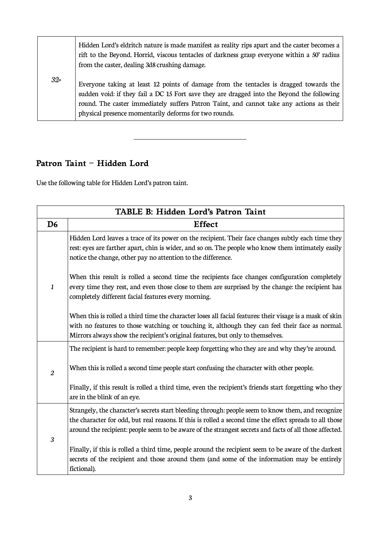|       | Hidden Lord's eldritch nature is made manifest as reality rips apart and the caster becomes a<br>rift to the Beyond. Horrid, viscous tentacles of darkness grasp everyone within a 50' radius<br>from the caster, dealing 3d8 crushing damage.                                                                                            |
|-------|-------------------------------------------------------------------------------------------------------------------------------------------------------------------------------------------------------------------------------------------------------------------------------------------------------------------------------------------|
| $32+$ | Everyone taking at least 12 points of damage from the tentacles is dragged towards the<br>sudden void: if they fail a DC 15 Fort save they are dragged into the Beyond the following<br>round. The caster immediately suffers Patron Taint, and cannot take any actions as their<br>physical presence momentarily deforms for two rounds. |

# **Patron Taint – Hidden Lord**

Use the following table for Hidden Lord's patron taint.

 $\overline{a}$ 

| TABLE B: Hidden Lord's Patron Taint |                                                                                                                                                                                                                                                                                                                           |  |
|-------------------------------------|---------------------------------------------------------------------------------------------------------------------------------------------------------------------------------------------------------------------------------------------------------------------------------------------------------------------------|--|
| D <sub>6</sub>                      | <b>Effect</b>                                                                                                                                                                                                                                                                                                             |  |
| $\mathbf{1}$                        | Hidden Lord leaves a trace of its power on the recipient. Their face changes subtly each time they<br>rest: eyes are farther apart, chin is wider, and so on. The people who know them intimately easily<br>notice the change, other pay no attention to the difference.                                                  |  |
|                                     | When this result is rolled a second time the recipients face changes configuration completely<br>every time they rest, and even those close to them are surprised by the change: the recipient has<br>completely different facial features every morning.                                                                 |  |
|                                     | When this is rolled a third time the character loses all facial features: their visage is a mask of skin<br>with no features to those watching or touching it, although they can feel their face as normal.<br>Mirrors always show the recipient's original features, but only to themselves.                             |  |
| $\overline{2}$                      | The recipient is hard to remember: people keep forgetting who they are and why they're around.                                                                                                                                                                                                                            |  |
|                                     | When this is rolled a second time people start confusing the character with other people.                                                                                                                                                                                                                                 |  |
|                                     | Finally, if this result is rolled a third time, even the recipient's friends start forgetting who they<br>are in the blink of an eye.                                                                                                                                                                                     |  |
| 3                                   | Strangely, the character's secrets start bleeding through: people seem to know them, and recognize<br>the character for odd, but real reasons. If this is rolled a second time the effect spreads to all those<br>around the recipient: people seem to be aware of the strangest secrets and facts of all those affected. |  |
|                                     | Finally, if this is rolled a third time, people around the recipient seem to be aware of the darkest<br>secrets of the recipient and those around them (and some of the information may be entirely<br>fictional).                                                                                                        |  |